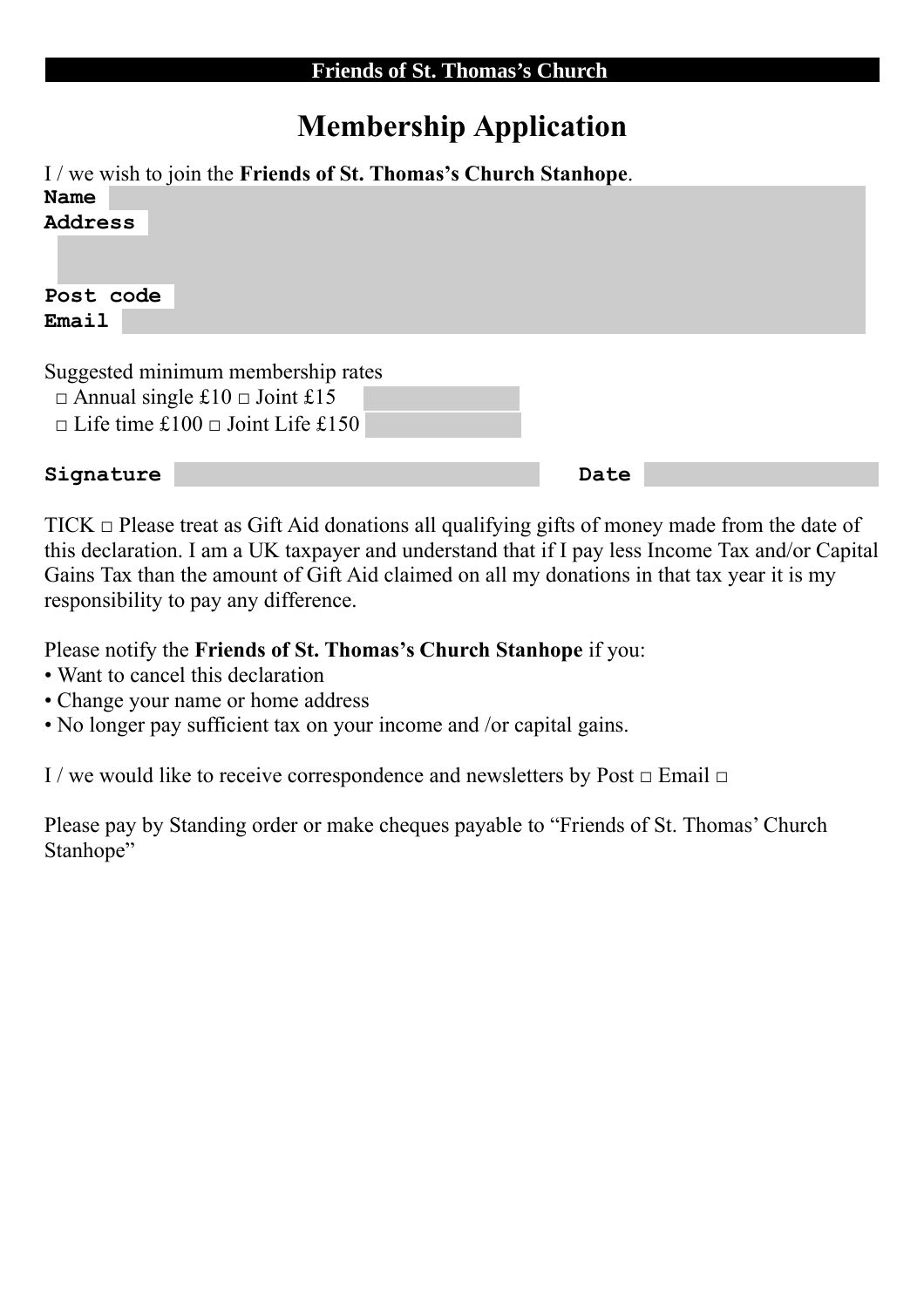## **Membership Application**

I / we wish to join the **Friends of St. Thomas's Church Stanhope**. **Name Address** 

**Post code Email** 

Suggested minimum membership rates  $\Box$  Annual single £10  $\Box$  Joint £15  $\Box$  Life time £100  $\Box$  Joint Life £150

**Signature Date** 

 $TICK \nightharpoonup$  Please treat as Gift Aid donations all qualifying gifts of money made from the date of this declaration. I am a UK taxpayer and understand that if I pay less Income Tax and/or Capital Gains Tax than the amount of Gift Aid claimed on all my donations in that tax year it is my responsibility to pay any difference.

Please notify the **Friends of St. Thomas's Church Stanhope** if you:

- Want to cancel this declaration
- Change your name or home address
- No longer pay sufficient tax on your income and /or capital gains.

I / we would like to receive correspondence and newsletters by Post  $\Box$  Email  $\Box$ 

Please pay by Standing order or make cheques payable to "Friends of St. Thomas' Church Stanhope"